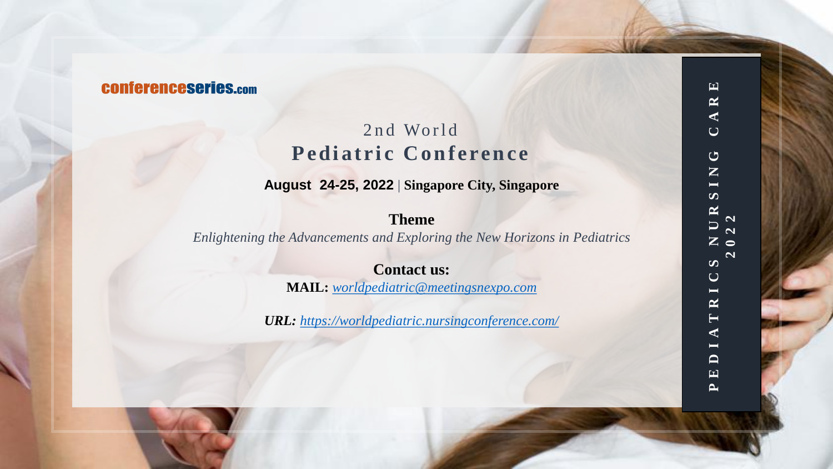# **CONferenceseries.com**

# 2nd World Pediatric Conference

**August 24-25, 2022** | **Singapore City, Singapore**

# **Theme**

*Enlightening the Advancements and Exploring the New Horizons in Pediatrics*

**Contact us: MAIL:** *[worldpediatric@meetingsnexpo.com](mailto:worldpediatric@meetingsnexpo.com)*

*URL: <https://worldpediatric.nursingconference.com/>*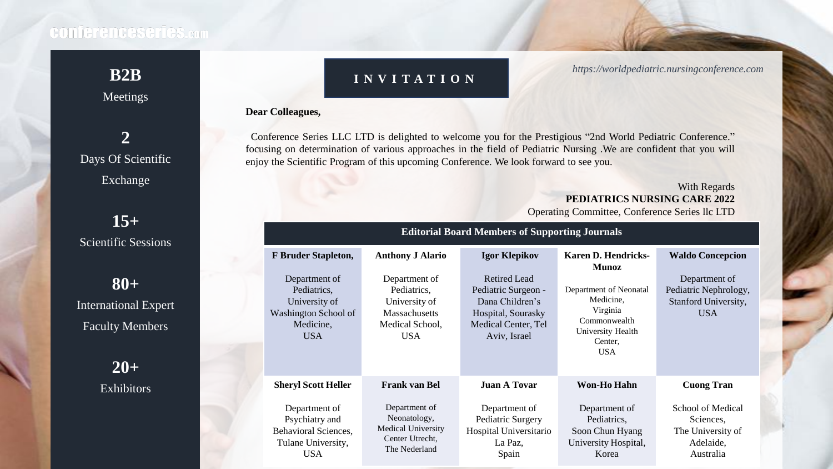Meetings

# **B2B I N V I T A T I O N** *https://worldpediatric.nursingconference.com*

### **Dear Colleagues,**

 Conference Series LLC LTD is delighted to welcome you for the Prestigious "2nd World Pediatric Conference." focusing on determination of various approaches in the field of Pediatric Nursing .We are confident that you will enjoy the Scientific Program of this upcoming Conference. We look forward to see you.

### With Regards **PEDIATRICS NURSING CARE 2022** Operating Committee, Conference Series llc LTD

| <b>Editorial Board Members of Supporting Journals</b>                                            |                                                                                                        |                                                                                                                     |                                                                                                               |                                                                               |
|--------------------------------------------------------------------------------------------------|--------------------------------------------------------------------------------------------------------|---------------------------------------------------------------------------------------------------------------------|---------------------------------------------------------------------------------------------------------------|-------------------------------------------------------------------------------|
| <b>F</b> Bruder Stapleton,                                                                       | <b>Anthony J Alario</b>                                                                                | <b>Igor Klepikov</b>                                                                                                | <b>Karen D. Hendricks-</b><br><b>Munoz</b>                                                                    | <b>Waldo Concepcion</b>                                                       |
| Department of<br>Pediatrics,<br>University of<br>Washington School of<br>Medicine,<br><b>USA</b> | Department of<br>Pediatrics,<br>University of<br><b>Massachusetts</b><br>Medical School,<br><b>USA</b> | Retired Lead<br>Pediatric Surgeon -<br>Dana Children's<br>Hospital, Sourasky<br>Medical Center, Tel<br>Aviv, Israel | Department of Neonatal<br>Medicine,<br>Virginia<br>Commonwealth<br>University Health<br>Center,<br><b>USA</b> | Department of<br>Pediatric Nephrology,<br>Stanford University,<br><b>USA</b>  |
| <b>Sheryl Scott Heller</b>                                                                       | <b>Frank van Bel</b>                                                                                   | <b>Juan A Tovar</b>                                                                                                 | <b>Won-Ho Hahn</b>                                                                                            | <b>Cuong Tran</b>                                                             |
| Department of<br>Psychiatry and<br>Behavioral Sciences,<br>Tulane University,<br><b>USA</b>      | Department of<br>Neonatology,<br>Medical University<br>Center Utrecht,<br>The Nederland                | Department of<br>Pediatric Surgery<br>Hospital Universitario<br>La Paz,<br>Spain                                    | Department of<br>Pediatrics,<br>Soon Chun Hyang<br>University Hospital,<br>Korea                              | School of Medical<br>Sciences,<br>The University of<br>Adelaide,<br>Australia |

Days Of Scientific Exchange

**2**

**15+** Scientific Sessions

**80+** International Expert Faculty Members

> **20+ Exhibitors**